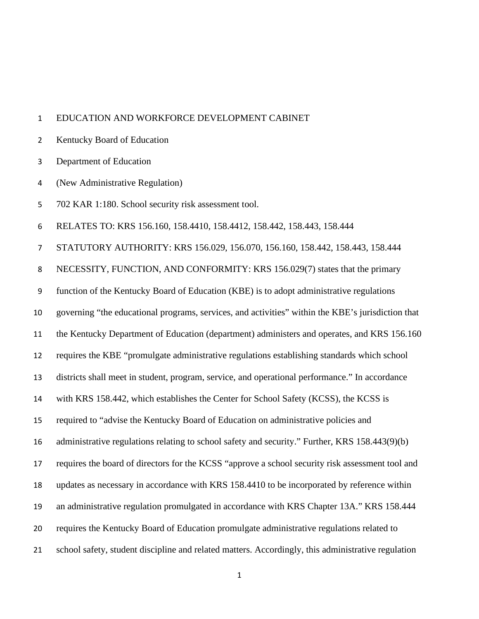## EDUCATION AND WORKFORCE DEVELOPMENT CABINET

- Kentucky Board of Education
- Department of Education
- (New Administrative Regulation)
- 702 KAR 1:180. School security risk assessment tool.

RELATES TO: KRS 156.160, 158.4410, 158.4412, 158.442, 158.443, 158.444

STATUTORY AUTHORITY: KRS 156.029, 156.070, 156.160, 158.442, 158.443, 158.444

NECESSITY, FUNCTION, AND CONFORMITY: KRS 156.029(7) states that the primary

function of the Kentucky Board of Education (KBE) is to adopt administrative regulations

governing "the educational programs, services, and activities" within the KBE's jurisdiction that

the Kentucky Department of Education (department) administers and operates, and KRS 156.160

requires the KBE "promulgate administrative regulations establishing standards which school

districts shall meet in student, program, service, and operational performance." In accordance

- with KRS 158.442, which establishes the Center for School Safety (KCSS), the KCSS is
- required to "advise the Kentucky Board of Education on administrative policies and

administrative regulations relating to school safety and security." Further, KRS 158.443(9)(b)

requires the board of directors for the KCSS "approve a school security risk assessment tool and

updates as necessary in accordance with KRS 158.4410 to be incorporated by reference within

- an administrative regulation promulgated in accordance with KRS Chapter 13A." KRS 158.444
- requires the Kentucky Board of Education promulgate administrative regulations related to
- school safety, student discipline and related matters. Accordingly, this administrative regulation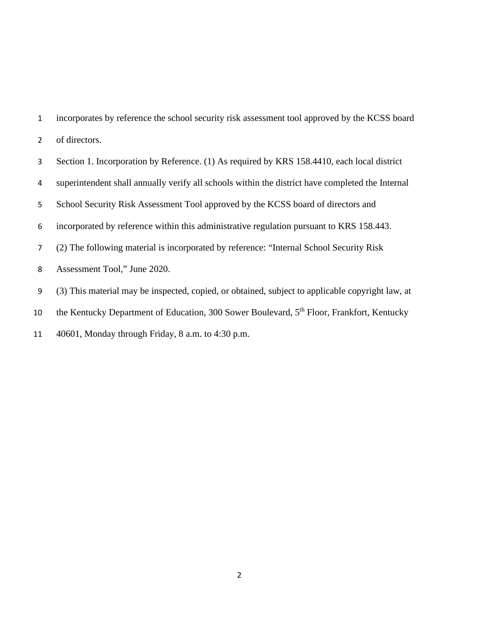incorporates by reference the school security risk assessment tool approved by the KCSS board of directors. Section 1. Incorporation by Reference. (1) As required by KRS 158.4410, each local district superintendent shall annually verify all schools within the district have completed the Internal School Security Risk Assessment Tool approved by the KCSS board of directors and incorporated by reference within this administrative regulation pursuant to KRS 158.443. (2) The following material is incorporated by reference: "Internal School Security Risk Assessment Tool," June 2020. (3) This material may be inspected, copied, or obtained, subject to applicable copyright law, at 10 the Kentucky Department of Education, 300 Sower Boulevard, 5<sup>th</sup> Floor, Frankfort, Kentucky 40601, Monday through Friday, 8 a.m. to 4:30 p.m.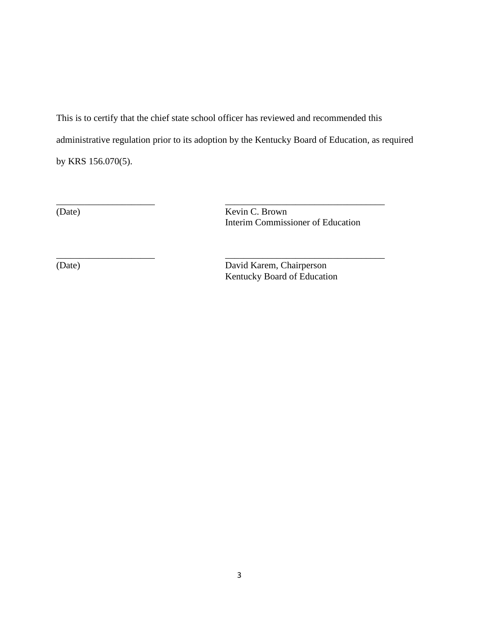This is to certify that the chief state school officer has reviewed and recommended this administrative regulation prior to its adoption by the Kentucky Board of Education, as required by KRS 156.070(5).

\_\_\_\_\_\_\_\_\_\_\_\_\_\_\_\_\_\_\_\_\_ \_\_\_\_\_\_\_\_\_\_\_\_\_\_\_\_\_\_\_\_\_\_\_\_\_\_\_\_\_\_\_\_\_\_

\_\_\_\_\_\_\_\_\_\_\_\_\_\_\_\_\_\_\_\_\_ \_\_\_\_\_\_\_\_\_\_\_\_\_\_\_\_\_\_\_\_\_\_\_\_\_\_\_\_\_\_\_\_\_\_

(Date) Kevin C. Brown Interim Commissioner of Education

(Date) David Karem, Chairperson Kentucky Board of Education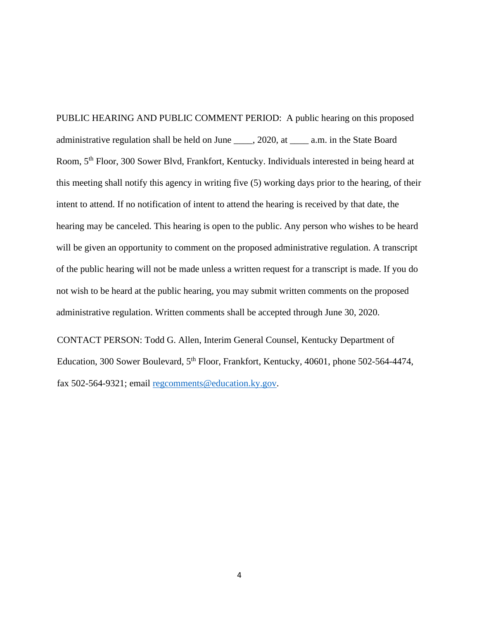PUBLIC HEARING AND PUBLIC COMMENT PERIOD: A public hearing on this proposed administrative regulation shall be held on June \_\_\_\_, 2020, at \_\_\_\_ a.m. in the State Board Room, 5th Floor, 300 Sower Blvd, Frankfort, Kentucky. Individuals interested in being heard at this meeting shall notify this agency in writing five (5) working days prior to the hearing, of their intent to attend. If no notification of intent to attend the hearing is received by that date, the hearing may be canceled. This hearing is open to the public. Any person who wishes to be heard will be given an opportunity to comment on the proposed administrative regulation. A transcript of the public hearing will not be made unless a written request for a transcript is made. If you do not wish to be heard at the public hearing, you may submit written comments on the proposed administrative regulation. Written comments shall be accepted through June 30, 2020.

CONTACT PERSON: Todd G. Allen, Interim General Counsel, Kentucky Department of Education, 300 Sower Boulevard, 5<sup>th</sup> Floor, Frankfort, Kentucky, 40601, phone 502-564-4474, fax 502-564-9321; email [regcomments@education.ky.gov.](mailto:regcomments@education.ky.gov)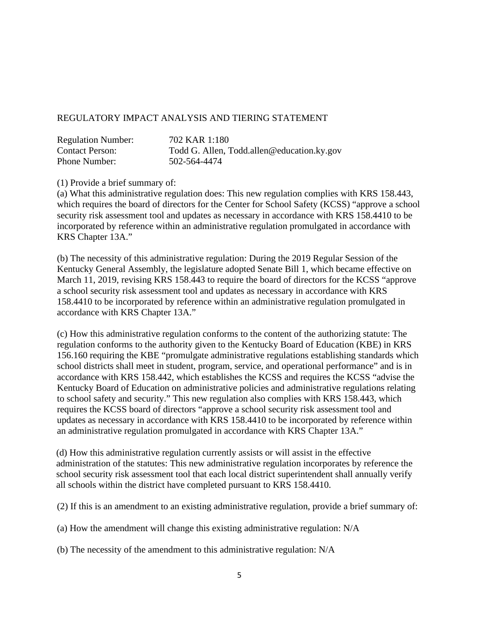## REGULATORY IMPACT ANALYSIS AND TIERING STATEMENT

| <b>Regulation Number:</b> | 702 KAR 1:180                              |
|---------------------------|--------------------------------------------|
| <b>Contact Person:</b>    | Todd G. Allen, Todd.allen@education.ky.gov |
| Phone Number:             | 502-564-4474                               |

(1) Provide a brief summary of:

(a) What this administrative regulation does: This new regulation complies with KRS 158.443, which requires the board of directors for the Center for School Safety (KCSS) "approve a school security risk assessment tool and updates as necessary in accordance with KRS 158.4410 to be incorporated by reference within an administrative regulation promulgated in accordance with KRS Chapter 13A."

(b) The necessity of this administrative regulation: During the 2019 Regular Session of the Kentucky General Assembly, the legislature adopted Senate Bill 1, which became effective on March 11, 2019, revising KRS 158.443 to require the board of directors for the KCSS "approve a school security risk assessment tool and updates as necessary in accordance with KRS 158.4410 to be incorporated by reference within an administrative regulation promulgated in accordance with KRS Chapter 13A."

(c) How this administrative regulation conforms to the content of the authorizing statute: The regulation conforms to the authority given to the Kentucky Board of Education (KBE) in KRS 156.160 requiring the KBE "promulgate administrative regulations establishing standards which school districts shall meet in student, program, service, and operational performance" and is in accordance with KRS 158.442, which establishes the KCSS and requires the KCSS "advise the Kentucky Board of Education on administrative policies and administrative regulations relating to school safety and security." This new regulation also complies with KRS 158.443, which requires the KCSS board of directors "approve a school security risk assessment tool and updates as necessary in accordance with KRS 158.4410 to be incorporated by reference within an administrative regulation promulgated in accordance with KRS Chapter 13A."

(d) How this administrative regulation currently assists or will assist in the effective administration of the statutes: This new administrative regulation incorporates by reference the school security risk assessment tool that each local district superintendent shall annually verify all schools within the district have completed pursuant to KRS 158.4410.

(2) If this is an amendment to an existing administrative regulation, provide a brief summary of:

(a) How the amendment will change this existing administrative regulation: N/A

(b) The necessity of the amendment to this administrative regulation: N/A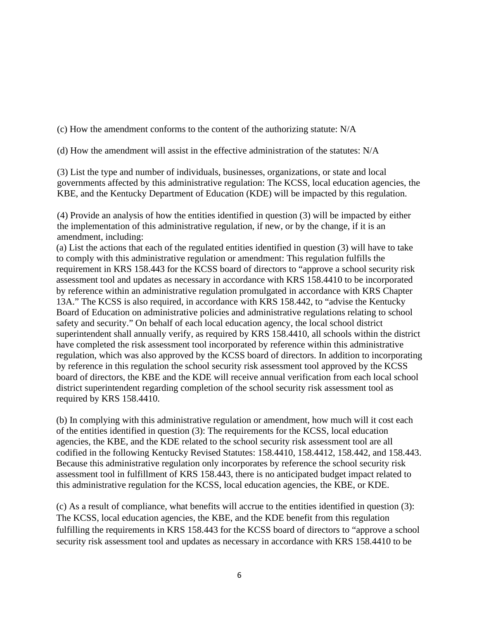(c) How the amendment conforms to the content of the authorizing statute: N/A

(d) How the amendment will assist in the effective administration of the statutes: N/A

(3) List the type and number of individuals, businesses, organizations, or state and local governments affected by this administrative regulation: The KCSS, local education agencies, the KBE, and the Kentucky Department of Education (KDE) will be impacted by this regulation.

(4) Provide an analysis of how the entities identified in question (3) will be impacted by either the implementation of this administrative regulation, if new, or by the change, if it is an amendment, including:

(a) List the actions that each of the regulated entities identified in question (3) will have to take to comply with this administrative regulation or amendment: This regulation fulfills the requirement in KRS 158.443 for the KCSS board of directors to "approve a school security risk assessment tool and updates as necessary in accordance with KRS 158.4410 to be incorporated by reference within an administrative regulation promulgated in accordance with KRS Chapter 13A." The KCSS is also required, in accordance with KRS 158.442, to "advise the Kentucky Board of Education on administrative policies and administrative regulations relating to school safety and security." On behalf of each local education agency, the local school district superintendent shall annually verify, as required by KRS 158.4410, all schools within the district have completed the risk assessment tool incorporated by reference within this administrative regulation, which was also approved by the KCSS board of directors. In addition to incorporating by reference in this regulation the school security risk assessment tool approved by the KCSS board of directors, the KBE and the KDE will receive annual verification from each local school district superintendent regarding completion of the school security risk assessment tool as required by KRS 158.4410.

(b) In complying with this administrative regulation or amendment, how much will it cost each of the entities identified in question (3): The requirements for the KCSS, local education agencies, the KBE, and the KDE related to the school security risk assessment tool are all codified in the following Kentucky Revised Statutes: 158.4410, 158.4412, 158.442, and 158.443. Because this administrative regulation only incorporates by reference the school security risk assessment tool in fulfillment of KRS 158.443, there is no anticipated budget impact related to this administrative regulation for the KCSS, local education agencies, the KBE, or KDE.

(c) As a result of compliance, what benefits will accrue to the entities identified in question (3): The KCSS, local education agencies, the KBE, and the KDE benefit from this regulation fulfilling the requirements in KRS 158.443 for the KCSS board of directors to "approve a school security risk assessment tool and updates as necessary in accordance with KRS 158.4410 to be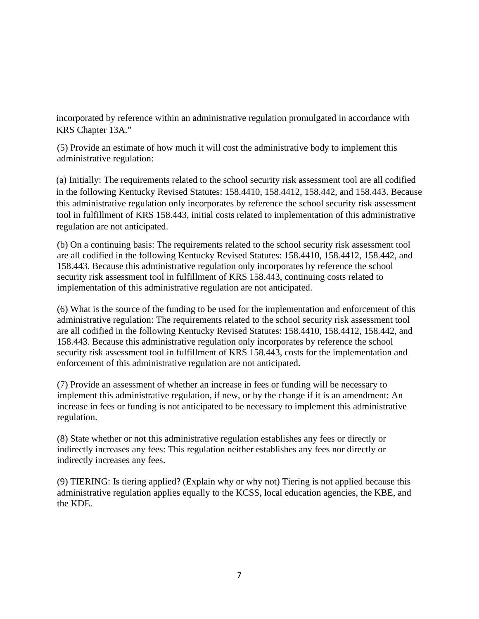incorporated by reference within an administrative regulation promulgated in accordance with KRS Chapter 13A."

(5) Provide an estimate of how much it will cost the administrative body to implement this administrative regulation:

(a) Initially: The requirements related to the school security risk assessment tool are all codified in the following Kentucky Revised Statutes: 158.4410, 158.4412, 158.442, and 158.443. Because this administrative regulation only incorporates by reference the school security risk assessment tool in fulfillment of KRS 158.443, initial costs related to implementation of this administrative regulation are not anticipated.

(b) On a continuing basis: The requirements related to the school security risk assessment tool are all codified in the following Kentucky Revised Statutes: 158.4410, 158.4412, 158.442, and 158.443. Because this administrative regulation only incorporates by reference the school security risk assessment tool in fulfillment of KRS 158.443, continuing costs related to implementation of this administrative regulation are not anticipated.

(6) What is the source of the funding to be used for the implementation and enforcement of this administrative regulation: The requirements related to the school security risk assessment tool are all codified in the following Kentucky Revised Statutes: 158.4410, 158.4412, 158.442, and 158.443. Because this administrative regulation only incorporates by reference the school security risk assessment tool in fulfillment of KRS 158.443, costs for the implementation and enforcement of this administrative regulation are not anticipated.

(7) Provide an assessment of whether an increase in fees or funding will be necessary to implement this administrative regulation, if new, or by the change if it is an amendment: An increase in fees or funding is not anticipated to be necessary to implement this administrative regulation.

(8) State whether or not this administrative regulation establishes any fees or directly or indirectly increases any fees: This regulation neither establishes any fees nor directly or indirectly increases any fees.

(9) TIERING: Is tiering applied? (Explain why or why not) Tiering is not applied because this administrative regulation applies equally to the KCSS, local education agencies, the KBE, and the KDE.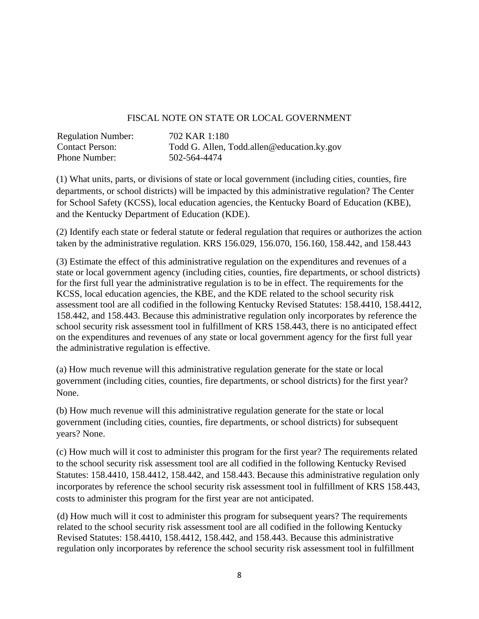## FISCAL NOTE ON STATE OR LOCAL GOVERNMENT

| <b>Regulation Number:</b> | 702 KAR 1:180                              |
|---------------------------|--------------------------------------------|
| <b>Contact Person:</b>    | Todd G. Allen, Todd.allen@education.ky.gov |
| <b>Phone Number:</b>      | 502-564-4474                               |

(1) What units, parts, or divisions of state or local government (including cities, counties, fire departments, or school districts) will be impacted by this administrative regulation? The Center for School Safety (KCSS), local education agencies, the Kentucky Board of Education (KBE), and the Kentucky Department of Education (KDE).

(2) Identify each state or federal statute or federal regulation that requires or authorizes the action taken by the administrative regulation. KRS 156.029, 156.070, 156.160, 158.442, and 158.443

(3) Estimate the effect of this administrative regulation on the expenditures and revenues of a state or local government agency (including cities, counties, fire departments, or school districts) for the first full year the administrative regulation is to be in effect. The requirements for the KCSS, local education agencies, the KBE, and the KDE related to the school security risk assessment tool are all codified in the following Kentucky Revised Statutes: 158.4410, 158.4412, 158.442, and 158.443. Because this administrative regulation only incorporates by reference the school security risk assessment tool in fulfillment of KRS 158.443, there is no anticipated effect on the expenditures and revenues of any state or local government agency for the first full year the administrative regulation is effective.

(a) How much revenue will this administrative regulation generate for the state or local government (including cities, counties, fire departments, or school districts) for the first year? None.

(b) How much revenue will this administrative regulation generate for the state or local government (including cities, counties, fire departments, or school districts) for subsequent years? None.

(c) How much will it cost to administer this program for the first year? The requirements related to the school security risk assessment tool are all codified in the following Kentucky Revised Statutes: 158.4410, 158.4412, 158.442, and 158.443. Because this administrative regulation only incorporates by reference the school security risk assessment tool in fulfillment of KRS 158.443, costs to administer this program for the first year are not anticipated.

(d) How much will it cost to administer this program for subsequent years? The requirements related to the school security risk assessment tool are all codified in the following Kentucky Revised Statutes: 158.4410, 158.4412, 158.442, and 158.443. Because this administrative regulation only incorporates by reference the school security risk assessment tool in fulfillment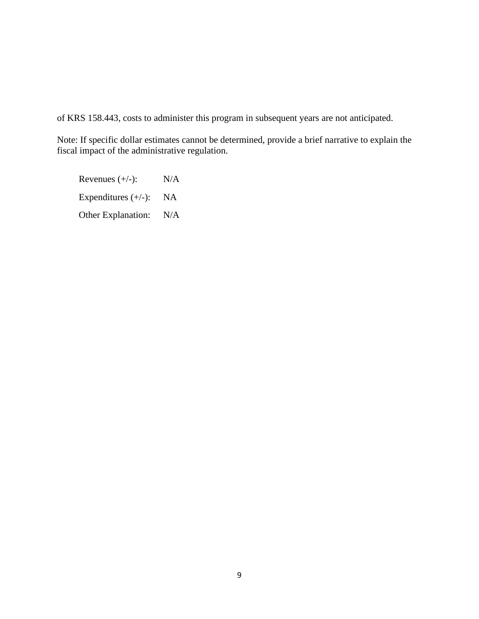of KRS 158.443, costs to administer this program in subsequent years are not anticipated.

Note: If specific dollar estimates cannot be determined, provide a brief narrative to explain the fiscal impact of the administrative regulation.

Revenues  $(+/-):$  N/A Expenditures  $(+/-):$  NA Other Explanation: N/A